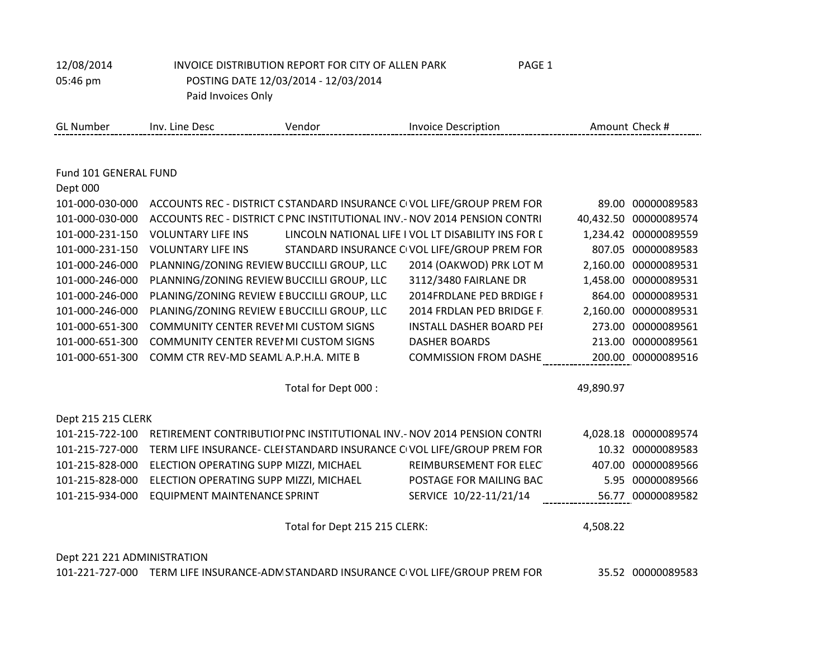| 12/08/2014                  |                                                                            | INVOICE DISTRIBUTION REPORT FOR CITY OF ALLEN PARK | PAGE 1                                              |           |                       |
|-----------------------------|----------------------------------------------------------------------------|----------------------------------------------------|-----------------------------------------------------|-----------|-----------------------|
| 05:46 pm                    |                                                                            | POSTING DATE 12/03/2014 - 12/03/2014               |                                                     |           |                       |
|                             | Paid Invoices Only                                                         |                                                    |                                                     |           |                       |
| <b>GL Number</b>            | Inv. Line Desc                                                             | Vendor                                             | <b>Invoice Description</b>                          |           | Amount Check #        |
|                             |                                                                            |                                                    |                                                     |           |                       |
| Fund 101 GENERAL FUND       |                                                                            |                                                    |                                                     |           |                       |
| Dept 000                    |                                                                            |                                                    |                                                     |           |                       |
| 101-000-030-000             | ACCOUNTS REC - DISTRICT C STANDARD INSURANCE CIVOL LIFE/GROUP PREM FOR     |                                                    |                                                     |           | 89.00 00000089583     |
| 101-000-030-000             | ACCOUNTS REC - DISTRICT C PNC INSTITUTIONAL INV. - NOV 2014 PENSION CONTRI |                                                    |                                                     |           | 40,432.50 00000089574 |
| 101-000-231-150             | <b>VOLUNTARY LIFE INS</b>                                                  |                                                    | LINCOLN NATIONAL LIFE I VOL LT DISABILITY INS FOR D |           | 1,234.42 00000089559  |
| 101-000-231-150             | <b>VOLUNTARY LIFE INS</b>                                                  |                                                    | STANDARD INSURANCE CIVOL LIFE/GROUP PREM FOR        |           | 807.05 00000089583    |
| 101-000-246-000             | PLANNING/ZONING REVIEW BUCCILLI GROUP, LLC                                 |                                                    | 2014 (OAKWOD) PRK LOT M                             |           | 2,160.00 00000089531  |
| 101-000-246-000             | PLANNING/ZONING REVIEW BUCCILLI GROUP, LLC                                 |                                                    | 3112/3480 FAIRLANE DR                               | 1,458.00  | 00000089531           |
| 101-000-246-000             | PLANING/ZONING REVIEW E BUCCILLI GROUP, LLC                                |                                                    | 2014FRDLANE PED BRDIGE I                            |           | 864.00 00000089531    |
| 101-000-246-000             | PLANING/ZONING REVIEW E BUCCILLI GROUP, LLC                                |                                                    | 2014 FRDLAN PED BRIDGE F.                           |           | 2,160.00 00000089531  |
| 101-000-651-300             | <b>COMMUNITY CENTER REVEI MI CUSTOM SIGNS</b>                              |                                                    | INSTALL DASHER BOARD PEI                            |           | 273.00 00000089561    |
| 101-000-651-300             | <b>COMMUNITY CENTER REVEI MI CUSTOM SIGNS</b>                              |                                                    | <b>DASHER BOARDS</b>                                |           | 213.00 00000089561    |
| 101-000-651-300             | COMM CTR REV-MD SEAML A.P.H.A. MITE B                                      |                                                    | <b>COMMISSION FROM DASHE</b>                        |           | 200.00 00000089516    |
|                             |                                                                            | Total for Dept 000 :                               |                                                     | 49,890.97 |                       |
| Dept 215 215 CLERK          |                                                                            |                                                    |                                                     |           |                       |
| 101-215-722-100             | RETIREMENT CONTRIBUTIOI PNC INSTITUTIONAL INV. - NOV 2014 PENSION CONTRI   |                                                    |                                                     |           | 4,028.18 00000089574  |
| 101-215-727-000             | TERM LIFE INSURANCE- CLEI STANDARD INSURANCE CIVOL LIFE/GROUP PREM FOR     |                                                    |                                                     |           | 10.32 00000089583     |
| 101-215-828-000             | ELECTION OPERATING SUPP MIZZI, MICHAEL                                     |                                                    | REIMBURSEMENT FOR ELEC                              |           | 407.00 00000089566    |
| 101-215-828-000             | ELECTION OPERATING SUPP MIZZI, MICHAEL                                     |                                                    | POSTAGE FOR MAILING BAC                             | 5.95      | 00000089566           |
| 101-215-934-000             | <b>EQUIPMENT MAINTENANCE SPRINT</b>                                        |                                                    | SERVICE 10/22-11/21/14                              |           | 56.77 00000089582     |
|                             |                                                                            | Total for Dept 215 215 CLERK:                      |                                                     | 4,508.22  |                       |
| Dept 221 221 ADMINISTRATION |                                                                            |                                                    |                                                     |           |                       |

101-221-727-000 TERM LIFE INSURANCE-ADM STANDARD INSURANCE COMPLETE/GROUP PREM FOR 35.52 00000089583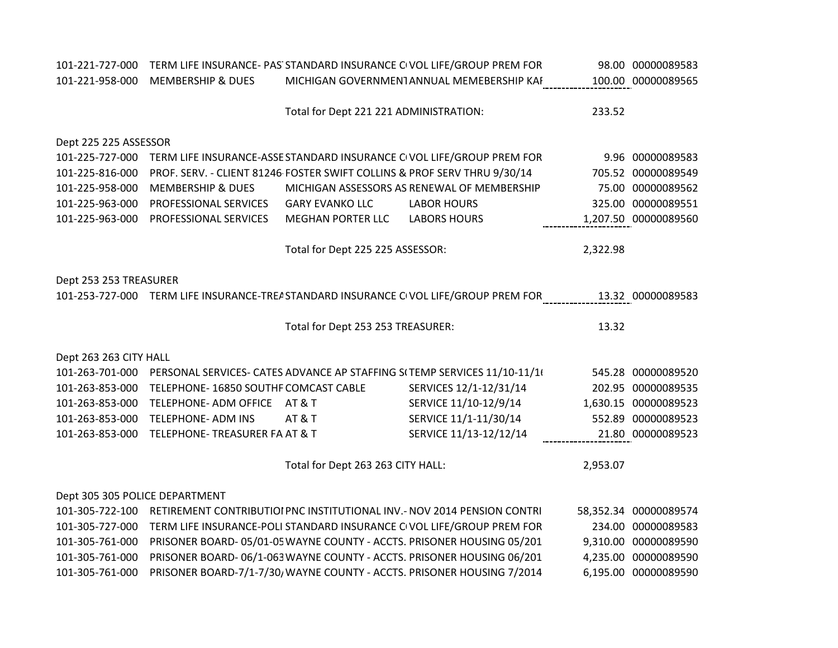| 101-221-727-000                | TERM LIFE INSURANCE- PAS STANDARD INSURANCE CIVOL LIFE/GROUP PREM FOR    |                                        |                                                                                      |          | 98.00 00000089583     |
|--------------------------------|--------------------------------------------------------------------------|----------------------------------------|--------------------------------------------------------------------------------------|----------|-----------------------|
| 101-221-958-000                | <b>MEMBERSHIP &amp; DUES</b>                                             |                                        | MICHIGAN GOVERNMENTANNUAL MEMEBERSHIP KAI                                            |          | 100.00 00000089565    |
|                                |                                                                          |                                        |                                                                                      |          |                       |
|                                |                                                                          | Total for Dept 221 221 ADMINISTRATION: |                                                                                      | 233.52   |                       |
|                                |                                                                          |                                        |                                                                                      |          |                       |
| Dept 225 225 ASSESSOR          |                                                                          |                                        |                                                                                      |          |                       |
| 101-225-727-000                |                                                                          |                                        | TERM LIFE INSURANCE-ASSE STANDARD INSURANCE CIVOL LIFE/GROUP PREM FOR                |          | 9.96 00000089583      |
| 101-225-816-000                | PROF. SERV. - CLIENT 81246 FOSTER SWIFT COLLINS & PROF SERV THRU 9/30/14 |                                        |                                                                                      |          | 705.52 00000089549    |
| 101-225-958-000                | <b>MEMBERSHIP &amp; DUES</b>                                             |                                        | MICHIGAN ASSESSORS AS RENEWAL OF MEMBERSHIP                                          |          | 75.00 00000089562     |
| 101-225-963-000                | PROFESSIONAL SERVICES                                                    | <b>GARY EVANKO LLC</b>                 | <b>LABOR HOURS</b>                                                                   |          | 325.00 00000089551    |
| 101-225-963-000                | PROFESSIONAL SERVICES                                                    | <b>MEGHAN PORTER LLC</b>               | <b>LABORS HOURS</b>                                                                  |          | 1,207.50 00000089560  |
|                                |                                                                          |                                        |                                                                                      |          |                       |
|                                |                                                                          | Total for Dept 225 225 ASSESSOR:       |                                                                                      | 2,322.98 |                       |
|                                |                                                                          |                                        |                                                                                      |          |                       |
| Dept 253 253 TREASURER         |                                                                          |                                        |                                                                                      |          |                       |
|                                |                                                                          |                                        | 101-253-727-000 TERM LIFE INSURANCE-TREASTANDARD INSURANCE CIVOL LIFE/GROUP PREM FOR |          | 13.32 00000089583     |
|                                |                                                                          |                                        |                                                                                      |          |                       |
|                                |                                                                          | Total for Dept 253 253 TREASURER:      |                                                                                      | 13.32    |                       |
|                                |                                                                          |                                        |                                                                                      |          |                       |
| Dept 263 263 CITY HALL         |                                                                          |                                        |                                                                                      |          |                       |
| 101-263-701-000                |                                                                          |                                        | PERSONAL SERVICES- CATES ADVANCE AP STAFFING S(TEMP SERVICES 11/10-11/1)             |          | 545.28 00000089520    |
| 101-263-853-000                | TELEPHONE-16850 SOUTHF COMCAST CABLE                                     |                                        |                                                                                      |          |                       |
|                                |                                                                          |                                        | SERVICES 12/1-12/31/14                                                               |          | 202.95 00000089535    |
| 101-263-853-000                | TELEPHONE- ADM OFFICE                                                    | <b>AT &amp; T</b>                      | SERVICE 11/10-12/9/14                                                                |          | 1,630.15 00000089523  |
| 101-263-853-000                | <b>TELEPHONE- ADM INS</b>                                                | <b>AT &amp; T</b>                      | SERVICE 11/1-11/30/14                                                                |          | 552.89 00000089523    |
| 101-263-853-000                | TELEPHONE- TREASURER FA AT & T                                           |                                        | SERVICE 11/13-12/12/14                                                               |          | 21.80 00000089523     |
|                                |                                                                          |                                        |                                                                                      |          |                       |
|                                |                                                                          | Total for Dept 263 263 CITY HALL:      |                                                                                      | 2,953.07 |                       |
|                                |                                                                          |                                        |                                                                                      |          |                       |
| Dept 305 305 POLICE DEPARTMENT |                                                                          |                                        |                                                                                      |          |                       |
| 101-305-722-100                |                                                                          |                                        | RETIREMENT CONTRIBUTIOI PNC INSTITUTIONAL INV.- NOV 2014 PENSION CONTRI              |          | 58,352.34 00000089574 |
| 101-305-727-000                |                                                                          |                                        | TERM LIFE INSURANCE-POLI STANDARD INSURANCE CIVOL LIFE/GROUP PREM FOR                |          | 234.00 00000089583    |
| 101-305-761-000                |                                                                          |                                        | PRISONER BOARD- 05/01-05 WAYNE COUNTY - ACCTS. PRISONER HOUSING 05/201               |          | 9,310.00 00000089590  |
| 101-305-761-000                |                                                                          |                                        | PRISONER BOARD- 06/1-063 WAYNE COUNTY - ACCTS. PRISONER HOUSING 06/201               |          | 4,235.00 00000089590  |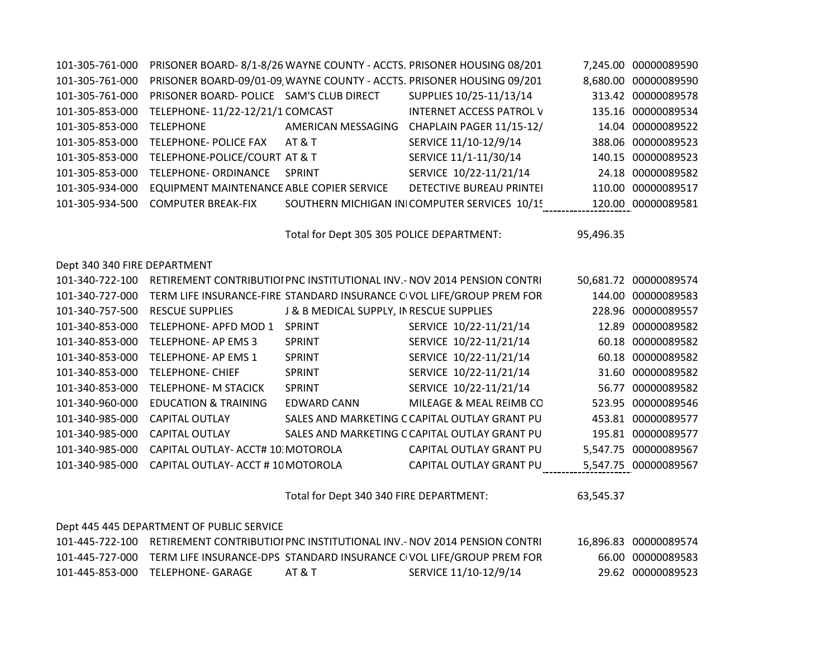| 101-305-761-000 |                                           |                    | PRISONER BOARD-8/1-8/26 WAYNE COUNTY - ACCTS. PRISONER HOUSING 08/201 | 7,245.00 00000089590 |
|-----------------|-------------------------------------------|--------------------|-----------------------------------------------------------------------|----------------------|
| 101-305-761-000 |                                           |                    | PRISONER BOARD-09/01-09 WAYNE COUNTY - ACCTS. PRISONER HOUSING 09/201 | 8,680.00 00000089590 |
| 101-305-761-000 | PRISONER BOARD- POLICE SAM'S CLUB DIRECT  |                    | SUPPLIES 10/25-11/13/14                                               | 313.42 00000089578   |
| 101-305-853-000 | TELEPHONE-11/22-12/21/1 COMCAST           |                    | <b>INTERNET ACCESS PATROL V</b>                                       | 135.16 00000089534   |
| 101-305-853-000 | <b>TELEPHONE</b>                          | AMERICAN MESSAGING | CHAPLAIN PAGER 11/15-12/                                              | 14.04 00000089522    |
| 101-305-853-000 | TELEPHONE- POLICE FAX                     | AT & T             | SERVICE 11/10-12/9/14                                                 | 388.06 00000089523   |
| 101-305-853-000 | TELEPHONE-POLICE/COURT AT & T             |                    | SERVICE 11/1-11/30/14                                                 | 140.15 00000089523   |
| 101-305-853-000 | TELEPHONE- ORDINANCE                      | <b>SPRINT</b>      | SERVICE 10/22-11/21/14                                                | 24.18 00000089582    |
| 101-305-934-000 | EQUIPMENT MAINTENANCE ABLE COPIER SERVICE |                    | DETECTIVE BUREAU PRINTEI                                              | 110.00 00000089517   |
| 101-305-934-500 | <b>COMPUTER BREAK-FIX</b>                 |                    | SOUTHERN MICHIGAN INICOMPUTER SERVICES 10/15                          | 120.00 00000089581   |

Total for Dept 305 305 POLICE DEPARTMENT: 95,496.35

## Dept 340 340 FIRE DEPARTMENT

| 101-340-722-100 |                                    |                                          | RETIREMENT CONTRIBUTIOI PNC INSTITUTIONAL INV. - NOV 2014 PENSION CONTRI | 50,681.72 00000089574 |
|-----------------|------------------------------------|------------------------------------------|--------------------------------------------------------------------------|-----------------------|
| 101-340-727-000 |                                    |                                          | TERM LIFE INSURANCE-FIRE STANDARD INSURANCE CIVOL LIFE/GROUP PREM FOR    | 144.00 00000089583    |
| 101-340-757-500 | <b>RESCUE SUPPLIES</b>             | J & B MEDICAL SUPPLY, IN RESCUE SUPPLIES |                                                                          | 228.96 00000089557    |
| 101-340-853-000 | TELEPHONE-APFD MOD 1               | <b>SPRINT</b>                            | SERVICE 10/22-11/21/14                                                   | 12.89 00000089582     |
| 101-340-853-000 | TELEPHONE- AP EMS 3                | <b>SPRINT</b>                            | SERVICE 10/22-11/21/14                                                   | 60.18 00000089582     |
| 101-340-853-000 | TELEPHONE- AP EMS 1                | <b>SPRINT</b>                            | SERVICE 10/22-11/21/14                                                   | 60.18 00000089582     |
| 101-340-853-000 | <b>TELEPHONE- CHIEF</b>            | <b>SPRINT</b>                            | SERVICE 10/22-11/21/14                                                   | 31.60 00000089582     |
| 101-340-853-000 | <b>TELEPHONE- M STACICK</b>        | <b>SPRINT</b>                            | SERVICE 10/22-11/21/14                                                   | 56.77 00000089582     |
| 101-340-960-000 | <b>EDUCATION &amp; TRAINING</b>    | EDWARD CANN                              | MILEAGE & MEAL REIMB CO                                                  | 523.95 00000089546    |
| 101-340-985-000 | <b>CAPITAL OUTLAY</b>              |                                          | SALES AND MARKETING C CAPITAL OUTLAY GRANT PU                            | 453.81 00000089577    |
| 101-340-985-000 | <b>CAPITAL OUTLAY</b>              |                                          | SALES AND MARKETING C CAPITAL OUTLAY GRANT PU                            | 195.81 00000089577    |
| 101-340-985-000 | CAPITAL OUTLAY- ACCT# 10 MOTOROLA  |                                          | CAPITAL OUTLAY GRANT PU                                                  | 5,547.75 00000089567  |
| 101-340-985-000 | CAPITAL OUTLAY- ACCT # 10 MOTOROLA |                                          | CAPITAL OUTLAY GRANT PU                                                  | 5,547.75 00000089567  |

Total for Dept 340 340 FIRE DEPARTMENT: 63,545.37

| Dept 445 445 DEPARTMENT OF PUBLIC SERVICE |                   |        |                                                                                         |  |                       |  |  |  |  |
|-------------------------------------------|-------------------|--------|-----------------------------------------------------------------------------------------|--|-----------------------|--|--|--|--|
|                                           |                   |        | 101-445-722-100 RETIREMENT CONTRIBUTIOI PNC INSTITUTIONAL INV.- NOV 2014 PENSION CONTRI |  | 16,896.83 00000089574 |  |  |  |  |
| 101-445-727-000                           |                   |        | TERM LIFE INSURANCE-DPS STANDARD INSURANCE CIVOL LIFE/GROUP PREM FOR                    |  | 66.00 00000089583     |  |  |  |  |
| 101-445-853-000                           | TFLFPHONF- GARAGF | AT & T | SERVICE 11/10-12/9/14                                                                   |  | 29.62 00000089523     |  |  |  |  |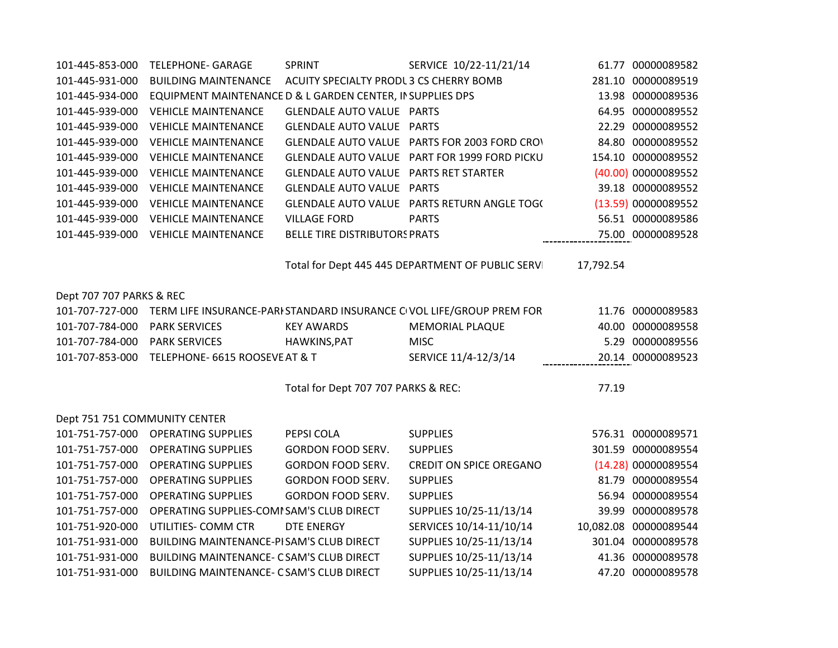| 101-445-853-000               | <b>TELEPHONE- GARAGE</b>                                   | SPRINT                                  | SERVICE 10/22-11/21/14                                                |           | 61.77 00000089582     |
|-------------------------------|------------------------------------------------------------|-----------------------------------------|-----------------------------------------------------------------------|-----------|-----------------------|
| 101-445-931-000               | <b>BUILDING MAINTENANCE</b>                                | ACUITY SPECIALTY PRODL 3 CS CHERRY BOMB |                                                                       |           | 281.10 00000089519    |
| 101-445-934-000               | EQUIPMENT MAINTENANCE D & L GARDEN CENTER, IN SUPPLIES DPS |                                         |                                                                       |           | 13.98 00000089536     |
| 101-445-939-000               | <b>VEHICLE MAINTENANCE</b>                                 | <b>GLENDALE AUTO VALUE PARTS</b>        |                                                                       |           | 64.95 00000089552     |
| 101-445-939-000               | <b>VEHICLE MAINTENANCE</b>                                 | <b>GLENDALE AUTO VALUE PARTS</b>        |                                                                       |           | 22.29 00000089552     |
| 101-445-939-000               | <b>VEHICLE MAINTENANCE</b>                                 |                                         | GLENDALE AUTO VALUE PARTS FOR 2003 FORD CROV                          |           | 84.80 00000089552     |
| 101-445-939-000               | <b>VEHICLE MAINTENANCE</b>                                 |                                         | GLENDALE AUTO VALUE PART FOR 1999 FORD PICKU                          |           | 154.10 00000089552    |
| 101-445-939-000               | <b>VEHICLE MAINTENANCE</b>                                 | GLENDALE AUTO VALUE PARTS RET STARTER   |                                                                       |           | (40.00) 00000089552   |
| 101-445-939-000               | <b>VEHICLE MAINTENANCE</b>                                 | <b>GLENDALE AUTO VALUE PARTS</b>        |                                                                       |           | 39.18 00000089552     |
| 101-445-939-000               | <b>VEHICLE MAINTENANCE</b>                                 |                                         | GLENDALE AUTO VALUE PARTS RETURN ANGLE TOG(                           |           | (13.59) 00000089552   |
| 101-445-939-000               | <b>VEHICLE MAINTENANCE</b>                                 | <b>VILLAGE FORD</b>                     | <b>PARTS</b>                                                          |           | 56.51 00000089586     |
| 101-445-939-000               | <b>VEHICLE MAINTENANCE</b>                                 | <b>BELLE TIRE DISTRIBUTORS PRATS</b>    |                                                                       |           | 75.00 00000089528     |
|                               |                                                            |                                         |                                                                       |           |                       |
|                               |                                                            |                                         | Total for Dept 445 445 DEPARTMENT OF PUBLIC SERVI                     | 17,792.54 |                       |
| Dept 707 707 PARKS & REC      |                                                            |                                         |                                                                       |           |                       |
| 101-707-727-000               |                                                            |                                         | TERM LIFE INSURANCE-PARI STANDARD INSURANCE CIVOL LIFE/GROUP PREM FOR |           | 11.76 00000089583     |
| 101-707-784-000               | <b>PARK SERVICES</b>                                       | <b>KEY AWARDS</b>                       | <b>MEMORIAL PLAQUE</b>                                                |           | 40.00 00000089558     |
| 101-707-784-000               | <b>PARK SERVICES</b>                                       | HAWKINS, PAT                            | <b>MISC</b>                                                           |           | 5.29 00000089556      |
| 101-707-853-000               | TELEPHONE- 6615 ROOSEVE AT & T                             |                                         | SERVICE 11/4-12/3/14                                                  |           | 20.14 00000089523     |
|                               |                                                            |                                         |                                                                       |           |                       |
|                               |                                                            | Total for Dept 707 707 PARKS & REC:     |                                                                       | 77.19     |                       |
| Dept 751 751 COMMUNITY CENTER |                                                            |                                         |                                                                       |           |                       |
| 101-751-757-000               | <b>OPERATING SUPPLIES</b>                                  | PEPSI COLA                              | <b>SUPPLIES</b>                                                       |           | 576.31 00000089571    |
| 101-751-757-000               | <b>OPERATING SUPPLIES</b>                                  | <b>GORDON FOOD SERV.</b>                | <b>SUPPLIES</b>                                                       |           | 301.59 00000089554    |
| 101-751-757-000               | <b>OPERATING SUPPLIES</b>                                  | <b>GORDON FOOD SERV.</b>                | <b>CREDIT ON SPICE OREGANO</b>                                        |           | (14.28) 00000089554   |
| 101-751-757-000               | <b>OPERATING SUPPLIES</b>                                  | GORDON FOOD SERV.                       | <b>SUPPLIES</b>                                                       |           | 81.79 00000089554     |
| 101-751-757-000               | <b>OPERATING SUPPLIES</b>                                  | <b>GORDON FOOD SERV.</b>                | <b>SUPPLIES</b>                                                       |           | 56.94 00000089554     |
| 101-751-757-000               | OPERATING SUPPLIES-COMI SAM'S CLUB DIRECT                  |                                         | SUPPLIES 10/25-11/13/14                                               |           | 39.99 00000089578     |
| 101-751-920-000               | UTILITIES- COMM CTR                                        | <b>DTE ENERGY</b>                       | SERVICES 10/14-11/10/14                                               |           | 10,082.08 00000089544 |
| 101-751-931-000               | BUILDING MAINTENANCE-PISAM'S CLUB DIRECT                   |                                         | SUPPLIES 10/25-11/13/14                                               |           | 301.04 00000089578    |
| 101-751-931-000               | BUILDING MAINTENANCE- C SAM'S CLUB DIRECT                  |                                         | SUPPLIES 10/25-11/13/14                                               |           | 41.36 00000089578     |
| 101-751-931-000               | BUILDING MAINTENANCE- C SAM'S CLUB DIRECT                  |                                         | SUPPLIES 10/25-11/13/14                                               |           | 47.20 00000089578     |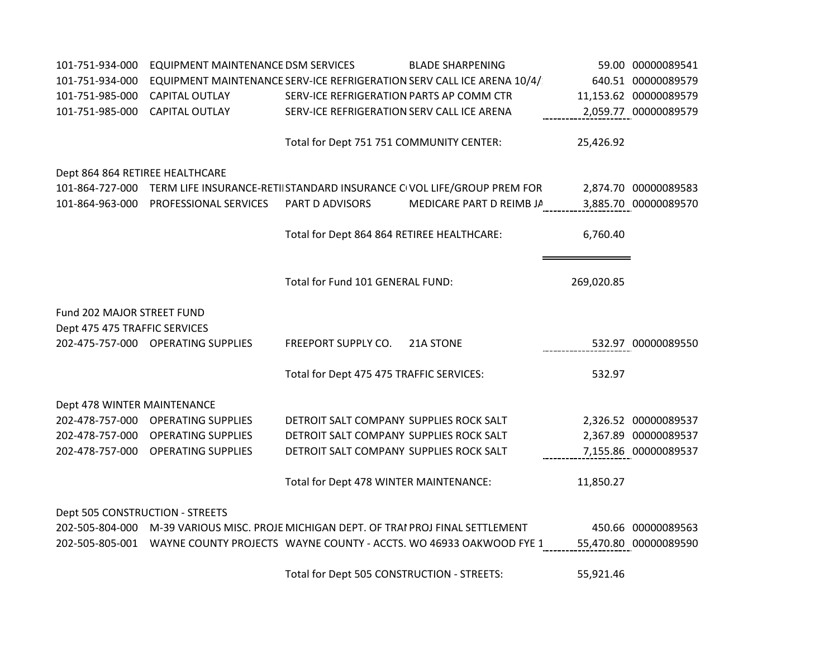| 101-751-934-000                 | EQUIPMENT MAINTENANCE DSM SERVICES                                                    |                                            | <b>BLADE SHARPENING</b>                                                               |            | 59.00 00000089541     |
|---------------------------------|---------------------------------------------------------------------------------------|--------------------------------------------|---------------------------------------------------------------------------------------|------------|-----------------------|
| 101-751-934-000                 |                                                                                       |                                            | EQUIPMENT MAINTENANCE SERV-ICE REFRIGERATION SERV CALL ICE ARENA 10/4/                |            | 640.51 00000089579    |
| 101-751-985-000                 | <b>CAPITAL OUTLAY</b>                                                                 | SERV-ICE REFRIGERATION PARTS AP COMM CTR   |                                                                                       |            | 11,153.62 00000089579 |
| 101-751-985-000                 | <b>CAPITAL OUTLAY</b>                                                                 | SERV-ICE REFRIGERATION SERV CALL ICE ARENA |                                                                                       |            | 2,059.77 00000089579  |
|                                 |                                                                                       |                                            |                                                                                       |            |                       |
|                                 |                                                                                       | Total for Dept 751 751 COMMUNITY CENTER:   |                                                                                       | 25,426.92  |                       |
| Dept 864 864 RETIREE HEALTHCARE |                                                                                       |                                            |                                                                                       |            |                       |
|                                 |                                                                                       |                                            | 101-864-727-000 TERM LIFE INSURANCE-RETIISTANDARD INSURANCE CIVOL LIFE/GROUP PREM FOR |            | 2,874.70 00000089583  |
| 101-864-963-000                 | PROFESSIONAL SERVICES                                                                 | PART D ADVISORS                            | MEDICARE PART D REIMB JA                                                              |            | 3,885.70 00000089570  |
|                                 |                                                                                       |                                            |                                                                                       |            |                       |
|                                 |                                                                                       | Total for Dept 864 864 RETIREE HEALTHCARE: |                                                                                       | 6,760.40   |                       |
|                                 |                                                                                       |                                            |                                                                                       |            |                       |
|                                 |                                                                                       | Total for Fund 101 GENERAL FUND:           |                                                                                       | 269,020.85 |                       |
|                                 |                                                                                       |                                            |                                                                                       |            |                       |
| Fund 202 MAJOR STREET FUND      |                                                                                       |                                            |                                                                                       |            |                       |
| Dept 475 475 TRAFFIC SERVICES   |                                                                                       |                                            |                                                                                       |            |                       |
|                                 | 202-475-757-000 OPERATING SUPPLIES                                                    | FREEPORT SUPPLY CO.                        | 21A STONE                                                                             |            | 532.97 00000089550    |
|                                 |                                                                                       |                                            |                                                                                       | 532.97     |                       |
|                                 |                                                                                       | Total for Dept 475 475 TRAFFIC SERVICES:   |                                                                                       |            |                       |
| Dept 478 WINTER MAINTENANCE     |                                                                                       |                                            |                                                                                       |            |                       |
|                                 | 202-478-757-000 OPERATING SUPPLIES                                                    | DETROIT SALT COMPANY SUPPLIES ROCK SALT    |                                                                                       |            | 2,326.52 00000089537  |
|                                 | 202-478-757-000 OPERATING SUPPLIES                                                    | DETROIT SALT COMPANY SUPPLIES ROCK SALT    |                                                                                       |            | 2,367.89 00000089537  |
| 202-478-757-000                 | <b>OPERATING SUPPLIES</b>                                                             | DETROIT SALT COMPANY SUPPLIES ROCK SALT    |                                                                                       |            | 7,155.86 00000089537  |
|                                 |                                                                                       | Total for Dept 478 WINTER MAINTENANCE:     |                                                                                       | 11,850.27  |                       |
|                                 |                                                                                       |                                            |                                                                                       |            |                       |
| Dept 505 CONSTRUCTION - STREETS |                                                                                       |                                            |                                                                                       |            |                       |
|                                 | 202-505-804-000 M-39 VARIOUS MISC. PROJE MICHIGAN DEPT. OF TRAI PROJ FINAL SETTLEMENT |                                            |                                                                                       |            | 450.66 00000089563    |
|                                 |                                                                                       |                                            | 202-505-805-001 WAYNE COUNTY PROJECTS WAYNE COUNTY - ACCTS. WO 46933 OAKWOOD FYE 1    |            | 55,470.80 00000089590 |
|                                 |                                                                                       | Total for Dept 505 CONSTRUCTION - STREETS: |                                                                                       | 55,921.46  |                       |
|                                 |                                                                                       |                                            |                                                                                       |            |                       |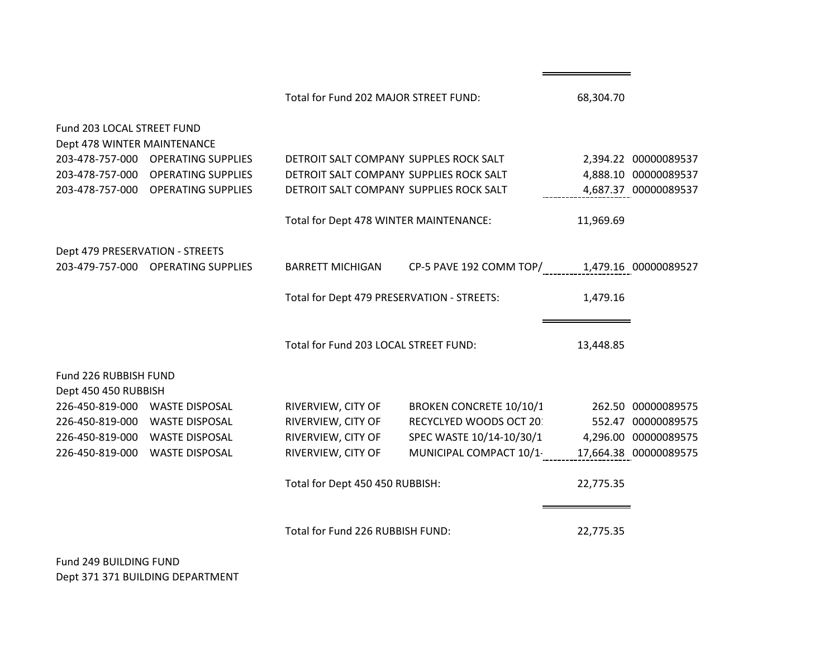|                                                           |                                    | Total for Fund 202 MAJOR STREET FUND:      |                                                 | 68,304.70 |                      |
|-----------------------------------------------------------|------------------------------------|--------------------------------------------|-------------------------------------------------|-----------|----------------------|
| Fund 203 LOCAL STREET FUND<br>Dept 478 WINTER MAINTENANCE |                                    |                                            |                                                 |           |                      |
|                                                           | 203-478-757-000 OPERATING SUPPLIES | DETROIT SALT COMPANY SUPPLES ROCK SALT     |                                                 |           | 2,394.22 00000089537 |
|                                                           | 203-478-757-000 OPERATING SUPPLIES | DETROIT SALT COMPANY SUPPLIES ROCK SALT    |                                                 |           | 4,888.10 00000089537 |
|                                                           | 203-478-757-000 OPERATING SUPPLIES | DETROIT SALT COMPANY SUPPLIES ROCK SALT    |                                                 |           | 4,687.37 00000089537 |
|                                                           |                                    | Total for Dept 478 WINTER MAINTENANCE:     |                                                 | 11,969.69 |                      |
| Dept 479 PRESERVATION - STREETS                           |                                    |                                            |                                                 |           |                      |
|                                                           | 203-479-757-000 OPERATING SUPPLIES | <b>BARRETT MICHIGAN</b>                    | CP-5 PAVE 192 COMM TOP/<br>1,479.16_00000089527 |           |                      |
|                                                           |                                    | Total for Dept 479 PRESERVATION - STREETS: |                                                 | 1,479.16  |                      |
|                                                           |                                    | Total for Fund 203 LOCAL STREET FUND:      |                                                 | 13,448.85 |                      |
| Fund 226 RUBBISH FUND<br>Dept 450 450 RUBBISH             |                                    |                                            |                                                 |           |                      |
|                                                           | 226-450-819-000 WASTE DISPOSAL     | RIVERVIEW, CITY OF                         | BROKEN CONCRETE 10/10/1                         |           | 262.50 00000089575   |
|                                                           | 226-450-819-000 WASTE DISPOSAL     | RIVERVIEW, CITY OF                         | RECYCLYED WOODS OCT 20:                         |           | 552.47 00000089575   |
|                                                           | 226-450-819-000 WASTE DISPOSAL     | RIVERVIEW, CITY OF                         | SPEC WASTE 10/14-10/30/1                        |           | 4,296.00 00000089575 |
|                                                           | 226-450-819-000 WASTE DISPOSAL     | RIVERVIEW, CITY OF                         | MUNICIPAL COMPACT 10/1- 17,664.38 00000089575   |           |                      |
|                                                           |                                    | Total for Dept 450 450 RUBBISH:            |                                                 | 22,775.35 |                      |
|                                                           |                                    | Total for Fund 226 RUBBISH FUND:           |                                                 | 22,775.35 |                      |

Fund 249 BUILDING FUND Dept 371 371 BUILDING DEPARTMENT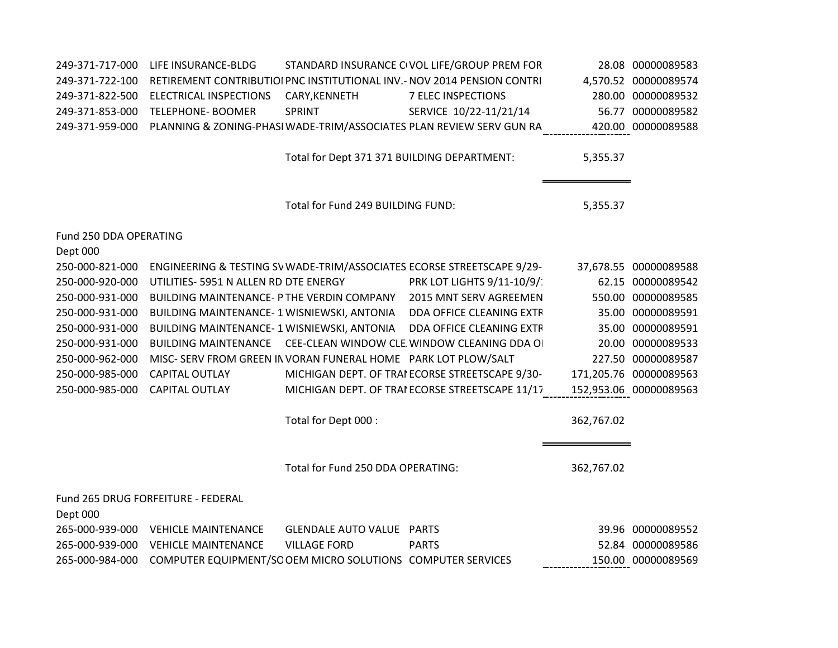| 249-371-717-000<br>249-371-722-100<br>249-371-822-500<br>249-371-853-000<br>249-371-959-000 | LIFE INSURANCE-BLDG<br><b>ELECTRICAL INSPECTIONS</b><br><b>TELEPHONE- BOOMER</b> | CARY, KENNETH<br><b>SPRINT</b>              | STANDARD INSURANCE CIVOL LIFE/GROUP PREM FOR<br>RETIREMENT CONTRIBUTIOI PNC INSTITUTIONAL INV.- NOV 2014 PENSION CONTRI<br><b>7 ELEC INSPECTIONS</b><br>SERVICE 10/22-11/21/14<br>PLANNING & ZONING-PHASI WADE-TRIM/ASSOCIATES PLAN REVIEW SERV GUN RA |            | 28.08 00000089583<br>4,570.52 00000089574<br>280.00 00000089532<br>56.77 00000089582<br>420.00 00000089588 |
|---------------------------------------------------------------------------------------------|----------------------------------------------------------------------------------|---------------------------------------------|--------------------------------------------------------------------------------------------------------------------------------------------------------------------------------------------------------------------------------------------------------|------------|------------------------------------------------------------------------------------------------------------|
|                                                                                             |                                                                                  | Total for Dept 371 371 BUILDING DEPARTMENT: |                                                                                                                                                                                                                                                        | 5,355.37   |                                                                                                            |
|                                                                                             |                                                                                  | Total for Fund 249 BUILDING FUND:           |                                                                                                                                                                                                                                                        | 5,355.37   |                                                                                                            |
| Fund 250 DDA OPERATING                                                                      |                                                                                  |                                             |                                                                                                                                                                                                                                                        |            |                                                                                                            |
| Dept 000                                                                                    |                                                                                  |                                             |                                                                                                                                                                                                                                                        |            |                                                                                                            |
| 250-000-821-000                                                                             |                                                                                  |                                             | ENGINEERING & TESTING SV WADE-TRIM/ASSOCIATES ECORSE STREETSCAPE 9/29-                                                                                                                                                                                 |            | 37,678.55 00000089588                                                                                      |
| 250-000-920-000<br>250-000-931-000                                                          | UTILITIES- 5951 N ALLEN RD DTE ENERGY                                            |                                             | PRK LOT LIGHTS 9/11-10/9/:<br>BUILDING MAINTENANCE- PTHE VERDIN COMPANY 2015 MNT SERV AGREEMEN                                                                                                                                                         |            | 62.15 00000089542<br>550.00 00000089585                                                                    |
| 250-000-931-000                                                                             |                                                                                  |                                             | BUILDING MAINTENANCE- 1 WISNIEWSKI, ANTONIA DDA OFFICE CLEANING EXTR                                                                                                                                                                                   |            | 35.00 00000089591                                                                                          |
| 250-000-931-000                                                                             |                                                                                  |                                             | BUILDING MAINTENANCE- 1 WISNIEWSKI, ANTONIA DDA OFFICE CLEANING EXTR                                                                                                                                                                                   |            | 35.00 00000089591                                                                                          |
| 250-000-931-000                                                                             |                                                                                  |                                             | BUILDING MAINTENANCE CEE-CLEAN WINDOW CLE. WINDOW CLEANING DDA OI                                                                                                                                                                                      |            | 20.00 00000089533                                                                                          |
| 250-000-962-000                                                                             | MISC- SERV FROM GREEN IN VORAN FUNERAL HOME PARK LOT PLOW/SALT                   |                                             |                                                                                                                                                                                                                                                        |            | 227.50 00000089587                                                                                         |
| 250-000-985-000                                                                             | <b>CAPITAL OUTLAY</b>                                                            |                                             | MICHIGAN DEPT. OF TRAI ECORSE STREETSCAPE 9/30-                                                                                                                                                                                                        |            | 171,205.76 00000089563                                                                                     |
| 250-000-985-000                                                                             | <b>CAPITAL OUTLAY</b>                                                            |                                             | MICHIGAN DEPT. OF TRAI ECORSE STREETSCAPE 11/17                                                                                                                                                                                                        |            | 152,953.06 00000089563                                                                                     |
|                                                                                             |                                                                                  |                                             |                                                                                                                                                                                                                                                        |            |                                                                                                            |
|                                                                                             |                                                                                  | Total for Dept 000 :                        |                                                                                                                                                                                                                                                        | 362,767.02 |                                                                                                            |
|                                                                                             |                                                                                  |                                             |                                                                                                                                                                                                                                                        |            |                                                                                                            |
|                                                                                             |                                                                                  | Total for Fund 250 DDA OPERATING:           |                                                                                                                                                                                                                                                        | 362,767.02 |                                                                                                            |
| Dept 000                                                                                    | Fund 265 DRUG FORFEITURE - FEDERAL                                               |                                             |                                                                                                                                                                                                                                                        |            |                                                                                                            |
|                                                                                             | 265-000-939-000 VEHICLE MAINTENANCE                                              | <b>GLENDALE AUTO VALUE PARTS</b>            |                                                                                                                                                                                                                                                        |            | 39.96 00000089552                                                                                          |
| 265-000-939-000                                                                             | <b>VEHICLE MAINTENANCE</b>                                                       | <b>VILLAGE FORD</b>                         | <b>PARTS</b>                                                                                                                                                                                                                                           |            | 52.84 00000089586                                                                                          |
| 265-000-984-000                                                                             | COMPUTER EQUIPMENT/SO OEM MICRO SOLUTIONS COMPUTER SERVICES                      |                                             |                                                                                                                                                                                                                                                        |            | 150.00 00000089569                                                                                         |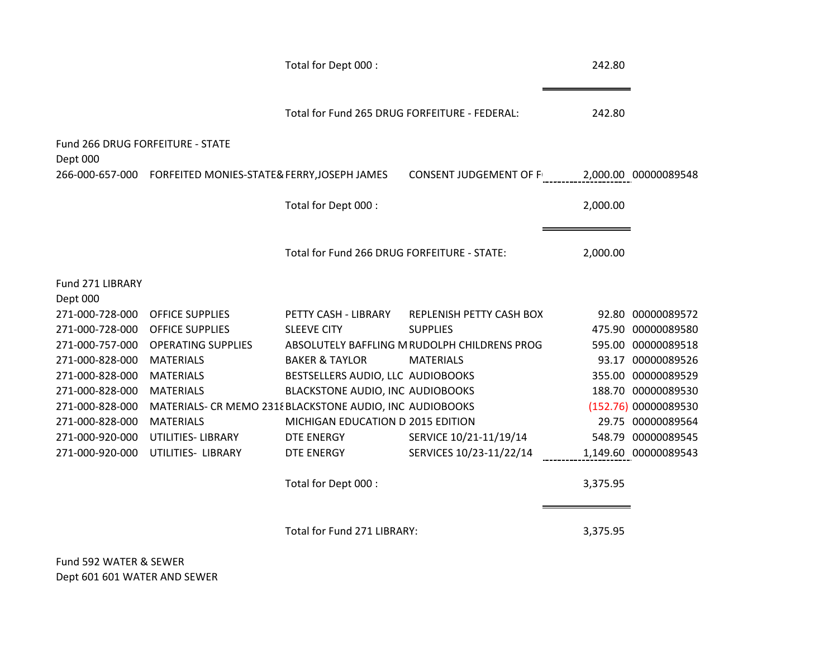|                                  |                                                             | Total for Dept 000 :                          |                                              | 242.80   |                      |
|----------------------------------|-------------------------------------------------------------|-----------------------------------------------|----------------------------------------------|----------|----------------------|
|                                  |                                                             | Total for Fund 265 DRUG FORFEITURE - FEDERAL: |                                              | 242.80   |                      |
| Fund 266 DRUG FORFEITURE - STATE |                                                             |                                               |                                              |          |                      |
| Dept 000                         |                                                             |                                               |                                              |          |                      |
|                                  | 266-000-657-000 FORFEITED MONIES-STATE& FERRY, JOSEPH JAMES |                                               | <b>CONSENT JUDGEMENT OF F</b>                |          | 2,000.00 00000089548 |
|                                  |                                                             | Total for Dept 000 :                          |                                              | 2,000.00 |                      |
|                                  |                                                             | Total for Fund 266 DRUG FORFEITURE - STATE:   |                                              | 2,000.00 |                      |
| Fund 271 LIBRARY                 |                                                             |                                               |                                              |          |                      |
| Dept 000                         |                                                             |                                               |                                              |          |                      |
| 271-000-728-000                  | <b>OFFICE SUPPLIES</b>                                      | PETTY CASH - LIBRARY                          | REPLENISH PETTY CASH BOX                     |          | 92.80 00000089572    |
| 271-000-728-000                  | <b>OFFICE SUPPLIES</b>                                      | <b>SLEEVE CITY</b>                            | <b>SUPPLIES</b>                              |          | 475.90 00000089580   |
| 271-000-757-000                  | <b>OPERATING SUPPLIES</b>                                   |                                               | ABSOLUTELY BAFFLING M RUDOLPH CHILDRENS PROG |          | 595.00 00000089518   |
| 271-000-828-000                  | <b>MATERIALS</b>                                            | <b>BAKER &amp; TAYLOR</b>                     | <b>MATERIALS</b>                             |          | 93.17 00000089526    |
| 271-000-828-000                  | <b>MATERIALS</b>                                            | BESTSELLERS AUDIO, LLC AUDIOBOOKS             |                                              |          | 355.00 00000089529   |
| 271-000-828-000                  | <b>MATERIALS</b>                                            | BLACKSTONE AUDIO, INC AUDIOBOOKS              |                                              |          | 188.70 00000089530   |
| 271-000-828-000                  | MATERIALS- CR MEMO 2318 BLACKSTONE AUDIO, INC AUDIOBOOKS    |                                               |                                              |          | (152.76) 00000089530 |
| 271-000-828-000                  | <b>MATERIALS</b>                                            | MICHIGAN EDUCATION D 2015 EDITION             |                                              |          | 29.75 00000089564    |
| 271-000-920-000                  | UTILITIES- LIBRARY                                          | DTE ENERGY                                    | SERVICE 10/21-11/19/14                       |          | 548.79 00000089545   |
| 271-000-920-000                  | UTILITIES- LIBRARY                                          | DTE ENERGY                                    | SERVICES 10/23-11/22/14                      |          | 1,149.60 00000089543 |
|                                  |                                                             | Total for Dept 000 :                          |                                              | 3,375.95 |                      |
|                                  |                                                             | Total for Fund 271 LIBRARY:                   |                                              | 3,375.95 |                      |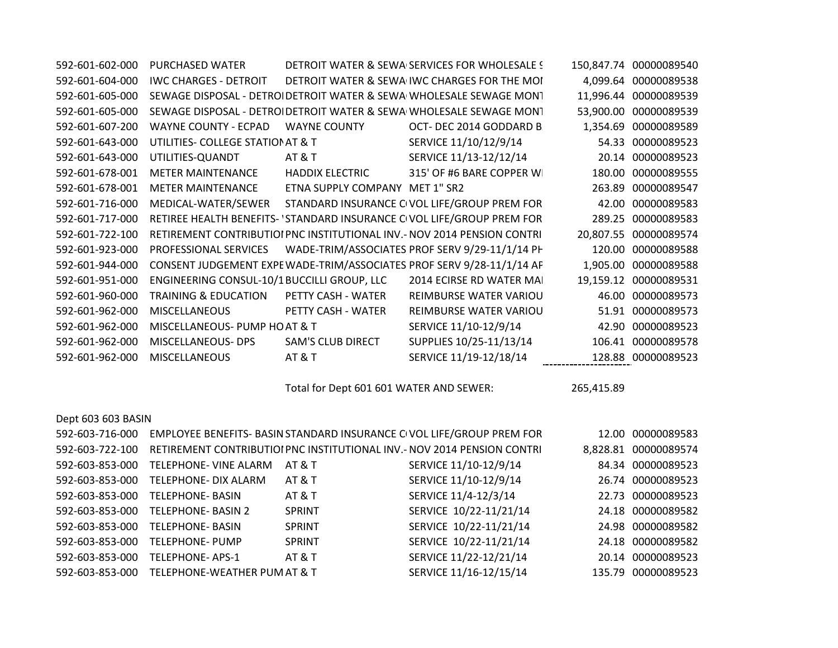| 592-601-602-000 | PURCHASED WATER                             |                                | DETROIT WATER & SEWA SERVICES FOR WHOLESALE !                           |       | 150,847.74 00000089540 |
|-----------------|---------------------------------------------|--------------------------------|-------------------------------------------------------------------------|-------|------------------------|
| 592-601-604-000 | <b>IWC CHARGES - DETROIT</b>                |                                | DETROIT WATER & SEWA IWC CHARGES FOR THE MOI                            |       | 4,099.64 00000089538   |
| 592-601-605-000 |                                             |                                | SEWAGE DISPOSAL - DETROI DETROIT WATER & SEWA WHOLESALE SEWAGE MONT     |       | 11,996.44 00000089539  |
| 592-601-605-000 |                                             |                                | SEWAGE DISPOSAL - DETROI DETROIT WATER & SEWA WHOLESALE SEWAGE MONT     |       | 53,900.00 00000089539  |
| 592-601-607-200 | <b>WAYNE COUNTY - ECPAD</b>                 | <b>WAYNE COUNTY</b>            | OCT-DEC 2014 GODDARD B                                                  |       | 1,354.69 00000089589   |
| 592-601-643-000 | UTILITIES- COLLEGE STATION AT & T           |                                | SERVICE 11/10/12/9/14                                                   |       | 54.33 00000089523      |
| 592-601-643-000 | UTILITIES-QUANDT                            | <b>AT &amp; T</b>              | SERVICE 11/13-12/12/14                                                  |       | 20.14 00000089523      |
| 592-601-678-001 | <b>METER MAINTENANCE</b>                    | <b>HADDIX ELECTRIC</b>         | 315' OF #6 BARE COPPER WI                                               |       | 180.00 00000089555     |
| 592-601-678-001 | <b>METER MAINTENANCE</b>                    | ETNA SUPPLY COMPANY MET 1" SR2 |                                                                         |       | 263.89 00000089547     |
| 592-601-716-000 | MEDICAL-WATER/SEWER                         |                                | STANDARD INSURANCE CIVOL LIFE/GROUP PREM FOR                            |       | 42.00 00000089583      |
| 592-601-717-000 |                                             |                                | RETIREE HEALTH BENEFITS- 'STANDARD INSURANCE CIVOL LIFE/GROUP PREM FOR  |       | 289.25 00000089583     |
| 592-601-722-100 |                                             |                                | RETIREMENT CONTRIBUTIOI PNC INSTITUTIONAL INV.- NOV 2014 PENSION CONTRI |       | 20,807.55 00000089574  |
| 592-601-923-000 | PROFESSIONAL SERVICES                       |                                | WADE-TRIM/ASSOCIATES PROF SERV 9/29-11/1/14 PH                          |       | 120.00 00000089588     |
| 592-601-944-000 |                                             |                                | CONSENT JUDGEMENT EXPE WADE-TRIM/ASSOCIATES PROF SERV 9/28-11/1/14 AF   |       | 1,905.00 00000089588   |
| 592-601-951-000 | ENGINEERING CONSUL-10/1 BUCCILLI GROUP, LLC |                                | 2014 ECIRSE RD WATER MAI                                                |       | 19,159.12 00000089531  |
| 592-601-960-000 | <b>TRAINING &amp; EDUCATION</b>             | PETTY CASH - WATER             | REIMBURSE WATER VARIOU                                                  |       | 46.00 00000089573      |
| 592-601-962-000 | <b>MISCELLANEOUS</b>                        | PETTY CASH - WATER             | REIMBURSE WATER VARIOU                                                  |       | 51.91 00000089573      |
| 592-601-962-000 | MISCELLANEOUS- PUMP HO AT & T               |                                | SERVICE 11/10-12/9/14                                                   | 42.90 | 00000089523            |
| 592-601-962-000 | MISCELLANEOUS- DPS                          | <b>SAM'S CLUB DIRECT</b>       | SUPPLIES 10/25-11/13/14                                                 |       | 106.41 00000089578     |
| 592-601-962-000 | <b>MISCELLANEOUS</b>                        | <b>AT &amp; T</b>              | SERVICE 11/19-12/18/14                                                  |       | 128.88 00000089523     |

Total for Dept 601 601 WATER AND SEWER: 265,415.89

| Dept 603 603 BASIN |                              |                   |                                                                          |          |                   |
|--------------------|------------------------------|-------------------|--------------------------------------------------------------------------|----------|-------------------|
| 592-603-716-000    |                              |                   | EMPLOYEE BENEFITS- BASIN STANDARD INSURANCE CIVOL LIFE/GROUP PREM FOR    | 12.00    | 00000089583       |
| 592-603-722-100    |                              |                   | RETIREMENT CONTRIBUTIOI PNC INSTITUTIONAL INV. - NOV 2014 PENSION CONTRI | 8.828.81 | 00000089574       |
| 592-603-853-000    | TELEPHONE- VINE ALARM        | AT & T            | SERVICE 11/10-12/9/14                                                    | 84.34    | 00000089523       |
| 592-603-853-000    | TELEPHONE- DIX ALARM         | <b>AT &amp; T</b> | SERVICE 11/10-12/9/14                                                    | 26.74    | 00000089523       |
| 592-603-853-000    | <b>TELEPHONE-BASIN</b>       | AT & T            | SERVICE 11/4-12/3/14                                                     | 22.73    | 00000089523       |
| 592-603-853-000    | <b>TELEPHONE-BASIN 2</b>     | <b>SPRINT</b>     | SERVICE 10/22-11/21/14                                                   |          | 24.18 00000089582 |
| 592-603-853-000    | <b>TELEPHONE-BASIN</b>       | <b>SPRINT</b>     | SERVICE 10/22-11/21/14                                                   | 24.98    | 00000089582       |
| 592-603-853-000    | <b>TELEPHONE- PUMP</b>       | <b>SPRINT</b>     | SERVICE 10/22-11/21/14                                                   | 24.18    | 00000089582       |
| 592-603-853-000    | <b>TELEPHONE-APS-1</b>       | <b>AT &amp; T</b> | SERVICE 11/22-12/21/14                                                   | 20.14    | 00000089523       |
| 592-603-853-000    | TELEPHONE-WEATHER PUM AT & T |                   | SERVICE 11/16-12/15/14                                                   | 135.79   | 00000089523       |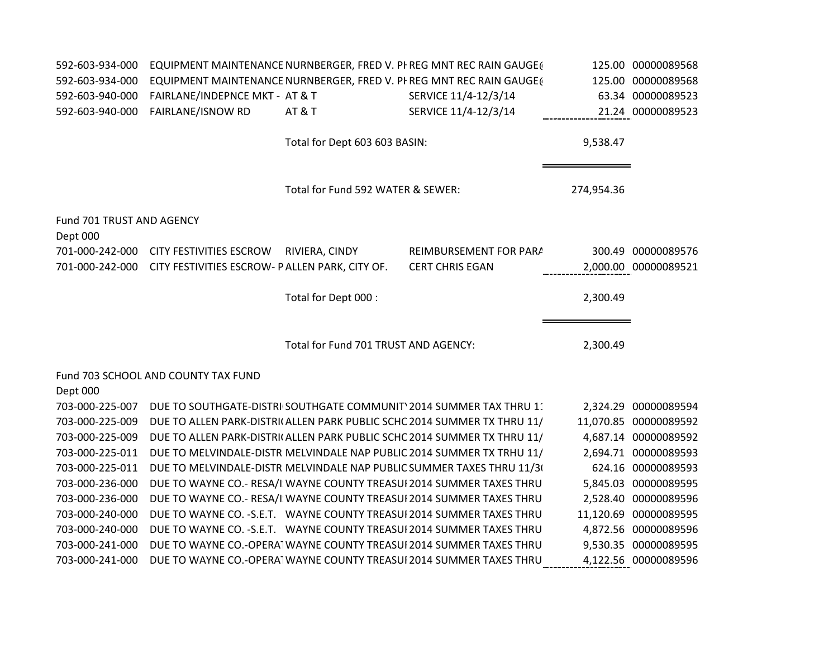| 592-603-934-000                       |                                                |                                      | EQUIPMENT MAINTENANCE NURNBERGER, FRED V. PI REG MNT REC RAIN GAUGE(    |            | 125.00 00000089568    |
|---------------------------------------|------------------------------------------------|--------------------------------------|-------------------------------------------------------------------------|------------|-----------------------|
| 592-603-934-000                       |                                                |                                      | EQUIPMENT MAINTENANCE NURNBERGER, FRED V. PI REG MNT REC RAIN GAUGE(    |            | 125.00 00000089568    |
| 592-603-940-000                       | FAIRLANE/INDEPNCE MKT - AT & T                 |                                      | SERVICE 11/4-12/3/14                                                    |            | 63.34 00000089523     |
| 592-603-940-000                       | <b>FAIRLANE/ISNOW RD</b>                       | <b>AT &amp; T</b>                    | SERVICE 11/4-12/3/14                                                    |            | 21.24 00000089523     |
|                                       |                                                | Total for Dept 603 603 BASIN:        |                                                                         | 9,538.47   |                       |
|                                       |                                                | Total for Fund 592 WATER & SEWER:    |                                                                         | 274,954.36 |                       |
| Fund 701 TRUST AND AGENCY<br>Dept 000 |                                                |                                      |                                                                         |            |                       |
| 701-000-242-000                       | <b>CITY FESTIVITIES ESCROW</b>                 | RIVIERA, CINDY                       | REIMBURSEMENT FOR PARA                                                  |            | 300.49 00000089576    |
| 701-000-242-000                       | CITY FESTIVITIES ESCROW- PALLEN PARK, CITY OF. |                                      | <b>CERT CHRIS EGAN</b>                                                  |            | 2,000.00 00000089521  |
|                                       |                                                |                                      |                                                                         |            |                       |
|                                       |                                                | Total for Dept 000 :                 |                                                                         | 2,300.49   |                       |
|                                       |                                                | Total for Fund 701 TRUST AND AGENCY: |                                                                         | 2,300.49   |                       |
| Dept 000                              | Fund 703 SCHOOL AND COUNTY TAX FUND            |                                      |                                                                         |            |                       |
| 703-000-225-007                       |                                                |                                      | DUE TO SOUTHGATE-DISTRI SOUTHGATE COMMUNIT 2014 SUMMER TAX THRU 11      |            | 2,324.29 00000089594  |
| 703-000-225-009                       |                                                |                                      | DUE TO ALLEN PARK-DISTRI(ALLEN PARK PUBLIC SCHC 2014 SUMMER TX THRU 11/ |            | 11,070.85 00000089592 |
| 703-000-225-009                       |                                                |                                      | DUE TO ALLEN PARK-DISTRI(ALLEN PARK PUBLIC SCHC 2014 SUMMER TX THRU 11/ |            | 4,687.14 00000089592  |
| 703-000-225-011                       |                                                |                                      | DUE TO MELVINDALE-DISTR MELVINDALE NAP PUBLIC 2014 SUMMER TX TRHU 11/   |            | 2,694.71 00000089593  |
| 703-000-225-011                       |                                                |                                      | DUE TO MELVINDALE-DISTR MELVINDALE NAP PUBLIC SUMMER TAXES THRU 11/3(   |            | 624.16 00000089593    |
| 703-000-236-000                       |                                                |                                      | DUE TO WAYNE CO.- RESA/I WAYNE COUNTY TREASUI 2014 SUMMER TAXES THRU    |            | 5,845.03 00000089595  |
| 703-000-236-000                       |                                                |                                      | DUE TO WAYNE CO.- RESA/I WAYNE COUNTY TREASUI 2014 SUMMER TAXES THRU    |            | 2,528.40 00000089596  |
| 703-000-240-000                       |                                                |                                      | DUE TO WAYNE CO. - S.E.T. WAYNE COUNTY TREASUI 2014 SUMMER TAXES THRU   |            | 11,120.69 00000089595 |
| 703-000-240-000                       |                                                |                                      | DUE TO WAYNE CO. - S.E.T. WAYNE COUNTY TREASUI 2014 SUMMER TAXES THRU   |            | 4,872.56 00000089596  |
| 703-000-241-000                       |                                                |                                      | DUE TO WAYNE CO.-OPERA WAYNE COUNTY TREASUI 2014 SUMMER TAXES THRU      |            | 9,530.35 00000089595  |
| 703-000-241-000                       |                                                |                                      | DUE TO WAYNE CO.-OPERA WAYNE COUNTY TREASUI 2014 SUMMER TAXES THRU      |            | 4,122.56 00000089596  |